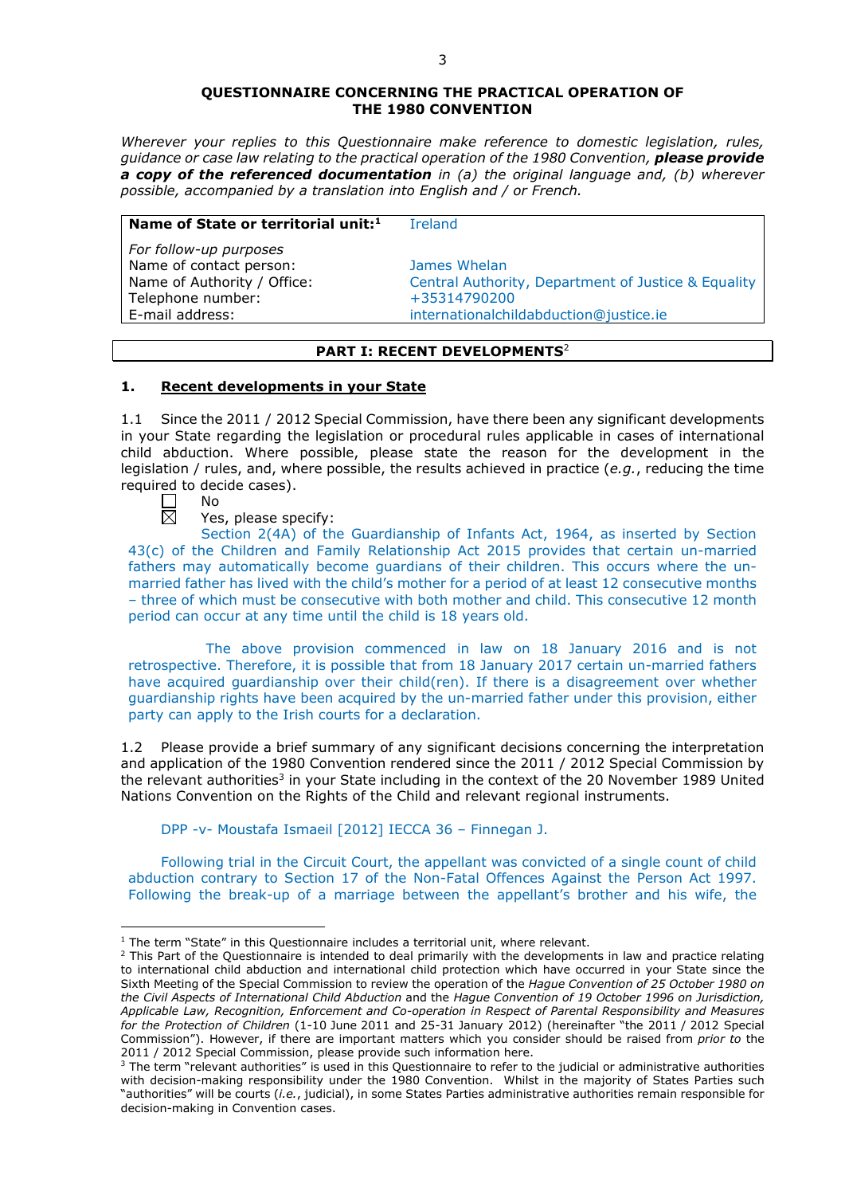#### **QUESTIONNAIRE CONCERNING THE PRACTICAL OPERATION OF THE 1980 CONVENTION**

*Wherever your replies to this Questionnaire make reference to domestic legislation, rules, guidance or case law relating to the practical operation of the 1980 Convention, please provide a copy of the referenced documentation in (a) the original language and, (b) wherever possible, accompanied by a translation into English and / or French.* 

#### **Name of State or territorial unit:**<sup>1</sup> Ireland

*For follow-up purposes* Name of contact person: James Whelan Telephone number: +35314790200

Name of Authority / Office: Central Authority, Department of Justice & Equality E-mail address: internationalchildabduction@justice.ie

## **PART I: RECENT DEVELOPMENTS**<sup>2</sup>

## **1. Recent developments in your State**

1.1 Since the 2011 / 2012 Special Commission, have there been any significant developments in your State regarding the legislation or procedural rules applicable in cases of international child abduction. Where possible, please state the reason for the development in the legislation / rules, and, where possible, the results achieved in practice (*e.g.*, reducing the time required to decide cases).

No 岗

<u>.</u>

Yes, please specify:

Section 2(4A) of the Guardianship of Infants Act, 1964, as inserted by Section 43(c) of the Children and Family Relationship Act 2015 provides that certain un-married fathers may automatically become guardians of their children. This occurs where the unmarried father has lived with the child's mother for a period of at least 12 consecutive months – three of which must be consecutive with both mother and child. This consecutive 12 month period can occur at any time until the child is 18 years old.

The above provision commenced in law on 18 January 2016 and is not retrospective. Therefore, it is possible that from 18 January 2017 certain un-married fathers have acquired guardianship over their child(ren). If there is a disagreement over whether guardianship rights have been acquired by the un-married father under this provision, either party can apply to the Irish courts for a declaration.

1.2 Please provide a brief summary of any significant decisions concerning the interpretation and application of the 1980 Convention rendered since the 2011 / 2012 Special Commission by the relevant authorities<sup>3</sup> in your State including in the context of the 20 November 1989 United Nations Convention on the Rights of the Child and relevant regional instruments.

DPP -v- Moustafa Ismaeil [2012] IECCA 36 – Finnegan J.

Following trial in the Circuit Court, the appellant was convicted of a single count of child abduction contrary to Section 17 of the Non-Fatal Offences Against the Person Act 1997. Following the break-up of a marriage between the appellant's brother and his wife, the

<sup>&</sup>lt;sup>1</sup> The term "State" in this Questionnaire includes a territorial unit, where relevant.

 $<sup>2</sup>$  This Part of the Questionnaire is intended to deal primarily with the developments in law and practice relating</sup> to international child abduction and international child protection which have occurred in your State since the Sixth Meeting of the Special Commission to review the operation of the *Hague Convention of 25 October 1980 on the Civil Aspects of International Child Abduction* and the *Hague Convention of 19 October 1996 on Jurisdiction, Applicable Law, Recognition, Enforcement and Co-operation in Respect of Parental Responsibility and Measures for the Protection of Children* (1-10 June 2011 and 25-31 January 2012) (hereinafter "the 2011 / 2012 Special Commission"). However, if there are important matters which you consider should be raised from *prior to* the 2011 / 2012 Special Commission, please provide such information here.

<sup>3</sup> The term "relevant authorities" is used in this Questionnaire to refer to the judicial or administrative authorities with decision-making responsibility under the 1980 Convention. Whilst in the majority of States Parties such "authorities" will be courts (*i.e.*, judicial), in some States Parties administrative authorities remain responsible for decision-making in Convention cases.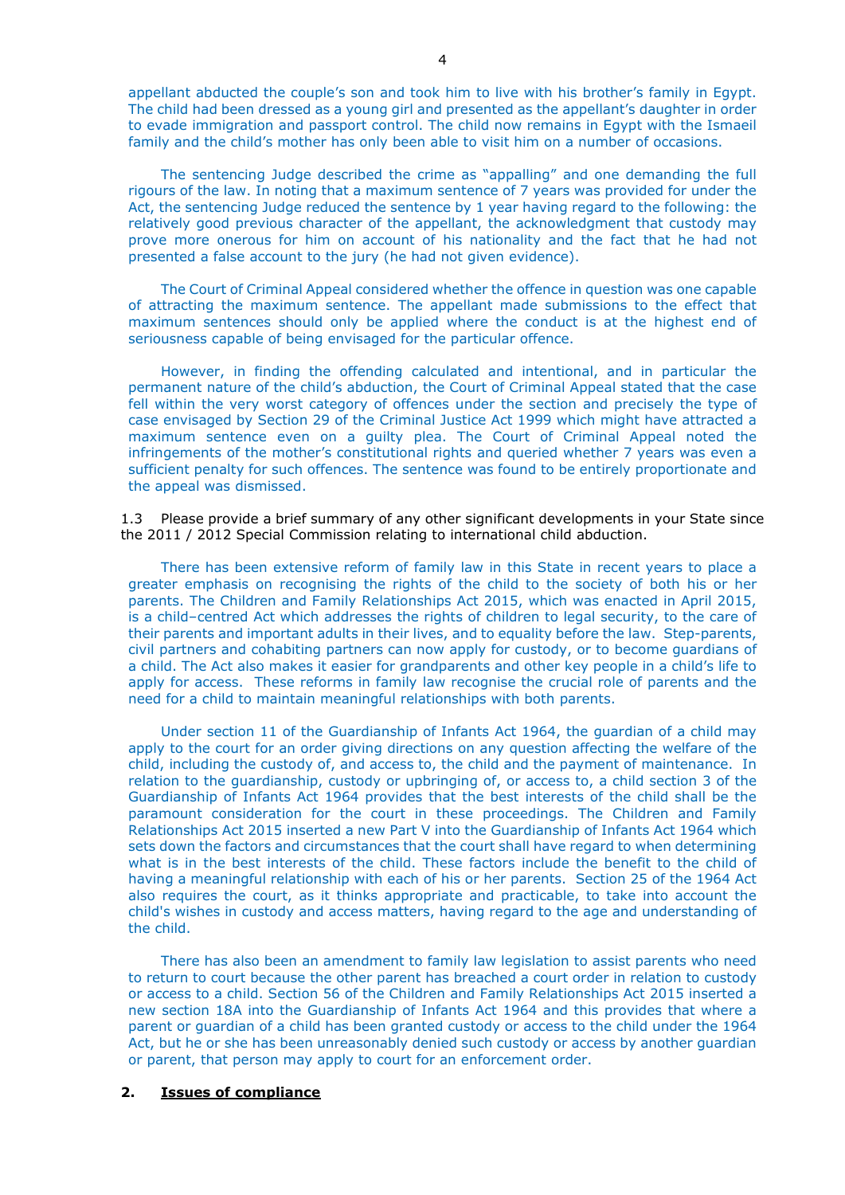appellant abducted the couple's son and took him to live with his brother's family in Egypt. The child had been dressed as a young girl and presented as the appellant's daughter in order to evade immigration and passport control. The child now remains in Egypt with the Ismaeil family and the child's mother has only been able to visit him on a number of occasions.

The sentencing Judge described the crime as "appalling" and one demanding the full rigours of the law. In noting that a maximum sentence of 7 years was provided for under the Act, the sentencing Judge reduced the sentence by 1 year having regard to the following: the relatively good previous character of the appellant, the acknowledgment that custody may prove more onerous for him on account of his nationality and the fact that he had not presented a false account to the jury (he had not given evidence).

The Court of Criminal Appeal considered whether the offence in question was one capable of attracting the maximum sentence. The appellant made submissions to the effect that maximum sentences should only be applied where the conduct is at the highest end of seriousness capable of being envisaged for the particular offence.

However, in finding the offending calculated and intentional, and in particular the permanent nature of the child's abduction, the Court of Criminal Appeal stated that the case fell within the very worst category of offences under the section and precisely the type of case envisaged by Section 29 of the Criminal Justice Act 1999 which might have attracted a maximum sentence even on a guilty plea. The Court of Criminal Appeal noted the infringements of the mother's constitutional rights and queried whether 7 years was even a sufficient penalty for such offences. The sentence was found to be entirely proportionate and the appeal was dismissed.

1.3 Please provide a brief summary of any other significant developments in your State since the 2011 / 2012 Special Commission relating to international child abduction.

There has been extensive reform of family law in this State in recent years to place a greater emphasis on recognising the rights of the child to the society of both his or her parents. The Children and Family Relationships Act 2015, which was enacted in April 2015, is a child–centred Act which addresses the rights of children to legal security, to the care of their parents and important adults in their lives, and to equality before the law. Step-parents, civil partners and cohabiting partners can now apply for custody, or to become guardians of a child. The Act also makes it easier for grandparents and other key people in a child's life to apply for access. These reforms in family law recognise the crucial role of parents and the need for a child to maintain meaningful relationships with both parents.

Under section 11 of the Guardianship of Infants Act 1964, the guardian of a child may apply to the court for an order giving directions on any question affecting the welfare of the child, including the custody of, and access to, the child and the payment of maintenance. In relation to the guardianship, custody or upbringing of, or access to, a child section 3 of the Guardianship of Infants Act 1964 provides that the best interests of the child shall be the paramount consideration for the court in these proceedings. The Children and Family Relationships Act 2015 inserted a new Part V into the Guardianship of Infants Act 1964 which sets down the factors and circumstances that the court shall have regard to when determining what is in the best interests of the child. These factors include the benefit to the child of having a meaningful relationship with each of his or her parents. Section 25 of the 1964 Act also requires the court, as it thinks appropriate and practicable, to take into account the child's wishes in custody and access matters, having regard to the age and understanding of the child.

There has also been an amendment to family law legislation to assist parents who need to return to court because the other parent has breached a court order in relation to custody or access to a child. Section 56 of the Children and Family Relationships Act 2015 inserted a new section 18A into the Guardianship of Infants Act 1964 and this provides that where a parent or guardian of a child has been granted custody or access to the child under the 1964 Act, but he or she has been unreasonably denied such custody or access by another guardian or parent, that person may apply to court for an enforcement order.

## **2. Issues of compliance**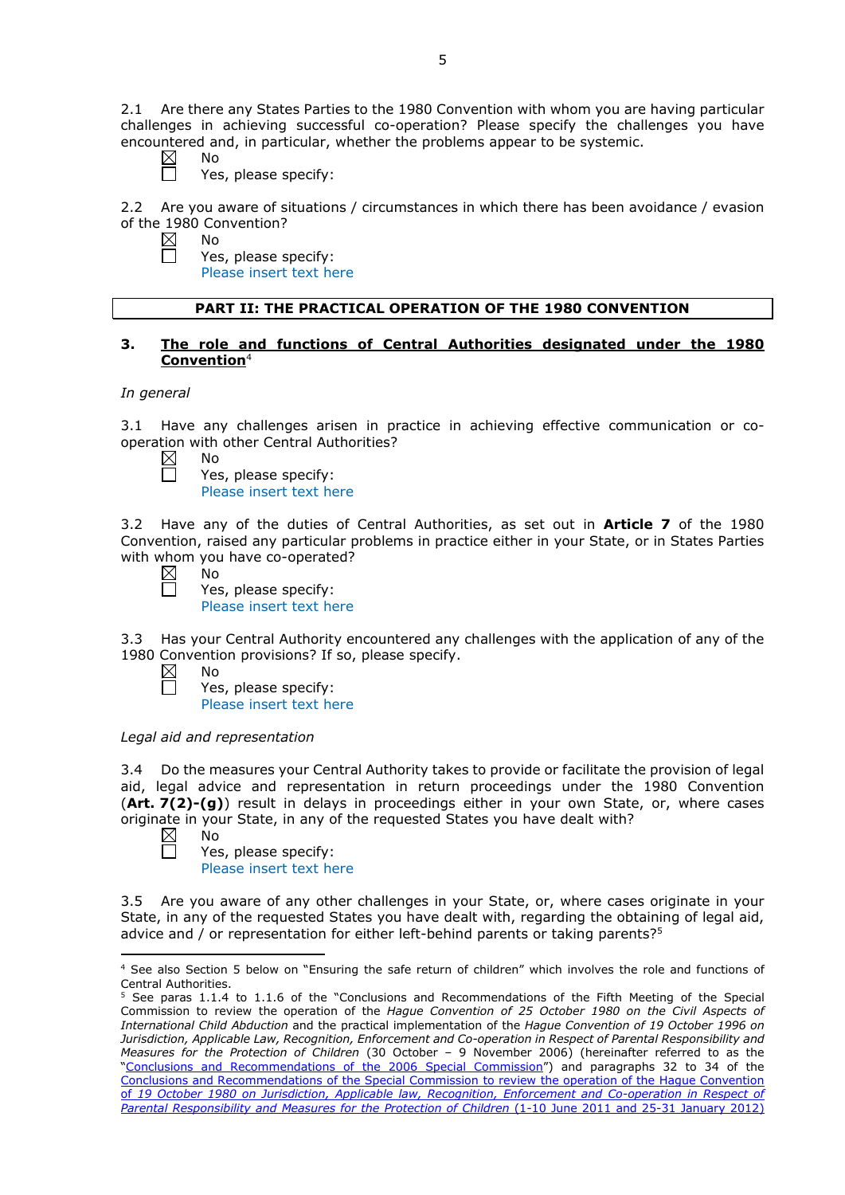2.1 Are there any States Parties to the 1980 Convention with whom you are having particular challenges in achieving successful co-operation? Please specify the challenges you have encountered and, in particular, whether the problems appear to be systemic.

- $\boxtimes$ No
	- Yes, please specify:

2.2 Are you aware of situations / circumstances in which there has been avoidance / evasion of the 1980 Convention?

 $\boxtimes$ No  $\Box$ 

Yes, please specify: Please insert text here

# **PART II: THE PRACTICAL OPERATION OF THE 1980 CONVENTION**

# **3. The role and functions of Central Authorities designated under the 1980 Convention**<sup>4</sup>

## *In general*

3.1 Have any challenges arisen in practice in achieving effective communication or cooperation with other Central Authorities?

 $\boxtimes$ No

| Yes, please specify:                                                                                                                                                                                                                 |  |
|--------------------------------------------------------------------------------------------------------------------------------------------------------------------------------------------------------------------------------------|--|
| <b>Independent of the contract of the state of the contract of the contract of the contract of the contract of the contract of the contract of the contract of the contract of the contract of the contract of the contract of t</b> |  |

Please insert text here

3.2 Have any of the duties of Central Authorities, as set out in **Article 7** of the 1980 Convention, raised any particular problems in practice either in your State, or in States Parties with whom you have co-operated?

 $\boxtimes$ No

П

 $\boxtimes$ П

Yes, please specify: Please insert text here

3.3 Has your Central Authority encountered any challenges with the application of any of the 1980 Convention provisions? If so, please specify.

No Yes, please specify: Please insert text here

# *Legal aid and representation*

3.4 Do the measures your Central Authority takes to provide or facilitate the provision of legal aid, legal advice and representation in return proceedings under the 1980 Convention (**Art. 7(2)-(g)**) result in delays in proceedings either in your own State, or, where cases originate in your State, in any of the requested States you have dealt with?<br>  $\boxtimes$  No

No 戸

Yes, please specify: Please insert text here

3.5 Are you aware of any other challenges in your State, or, where cases originate in your State, in any of the requested States you have dealt with, regarding the obtaining of legal aid, advice and  $\ell$  or representation for either left-behind parents or taking parents?<sup>5</sup>

<sup>&</sup>lt;u>.</u> <sup>4</sup> See also Section 5 below on "Ensuring the safe return of children" which involves the role and functions of Central Authorities.

<sup>5</sup> See paras 1.1.4 to 1.1.6 of the "Conclusions and Recommendations of the Fifth Meeting of the Special Commission to review the operation of the *Hague Convention of 25 October 1980 on the Civil Aspects of International Child Abduction* and the practical implementation of the *Hague Convention of 19 October 1996 on Jurisdiction, Applicable Law, Recognition, Enforcement and Co-operation in Respect of Parental Responsibility and Measures for the Protection of Children* (30 October – 9 November 2006) (hereinafter referred to as the ["Conclusions and Recommendations of the 2006 Special Commission"](https://assets.hcch.net/upload/concl28sc5_e.pdf)) and paragraphs 32 to 34 of the [Conclusions and Recommendations of the Special Commission](https://assets.hcch.net/upload/wop/concl28sc6_e.pdf) to review the operation of the Hague Convention of *[19 October 1980 on Jurisdiction, Applicable law, Recognition, Enforcement and Co-operation in Respect of](https://assets.hcch.net/upload/wop/concl28sc6_e.pdf)  [Parental Responsibility and Measures for the Protection of Children](https://assets.hcch.net/upload/wop/concl28sc6_e.pdf)* (1-10 June 2011 and 25-31 January 2012)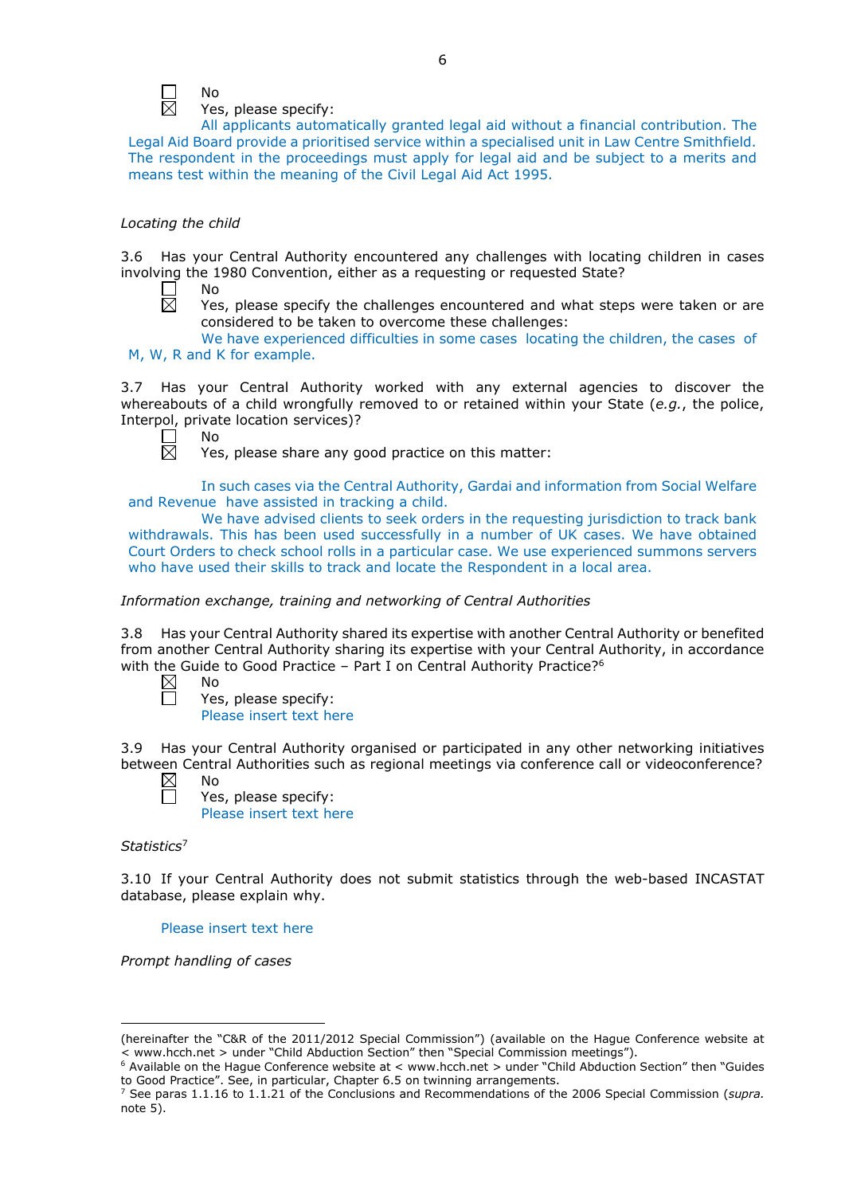

Yes, please specify:

All applicants automatically granted legal aid without a financial contribution. The Legal Aid Board provide a prioritised service within a specialised unit in Law Centre Smithfield. The respondent in the proceedings must apply for legal aid and be subject to a merits and means test within the meaning of the Civil Legal Aid Act 1995.

## *Locating the child*

3.6 Has your Central Authority encountered any challenges with locating children in cases involving the 1980 Convention, either as a requesting or requested State?

 $\Box$ No  $\bar{\boxtimes}$ 

Yes, please specify the challenges encountered and what steps were taken or are considered to be taken to overcome these challenges:

We have experienced difficulties in some cases locating the children, the cases of M, W, R and K for example.

3.7 Has your Central Authority worked with any external agencies to discover the whereabouts of a child wrongfully removed to or retained within your State (*e.g.*, the police, Interpol, private location services)?



Yes, please share any good practice on this matter:

In such cases via the Central Authority, Gardai and information from Social Welfare and Revenue have assisted in tracking a child.

We have advised clients to seek orders in the requesting jurisdiction to track bank withdrawals. This has been used successfully in a number of UK cases. We have obtained Court Orders to check school rolls in a particular case. We use experienced summons servers who have used their skills to track and locate the Respondent in a local area.

*Information exchange, training and networking of Central Authorities*

3.8 Has your Central Authority shared its expertise with another Central Authority or benefited from another Central Authority sharing its expertise with your Central Authority, in accordance with the Guide to Good Practice - Part I on Central Authority Practice?<sup>6</sup>

 $\boxtimes$ No

Yes, please specify:

Please insert text here

3.9 Has your Central Authority organised or participated in any other networking initiatives between Central Authorities such as regional meetings via conference call or videoconference?

 $\boxtimes$ No

Yes, please specify: Please insert text here

*Statistics*<sup>7</sup>

3.10 If your Central Authority does not submit statistics through the web-based INCASTAT database, please explain why.

Please insert text here

*Prompt handling of cases*

<sup>-</sup>(hereinafter the "C&R of the 2011/2012 Special Commission") (available on the Hague Conference website at <br>< www.hcch.net > under "Child Abduction Section" then "Special Commission meetings").

commission control commission in the metal commission of the method of the metal control commission meet in a<br>"Special Available on the Hague Conference website at < www.hcch.net > under "Child Abduction Section" then "Gui to Good Practice". See, in particular, Chapter 6.5 on twinning arrangements.

<sup>7</sup> See paras 1.1.16 to 1.1.21 of the Conclusions and Recommendations of the 2006 Special Commission (*supra.*  note  $5$ ).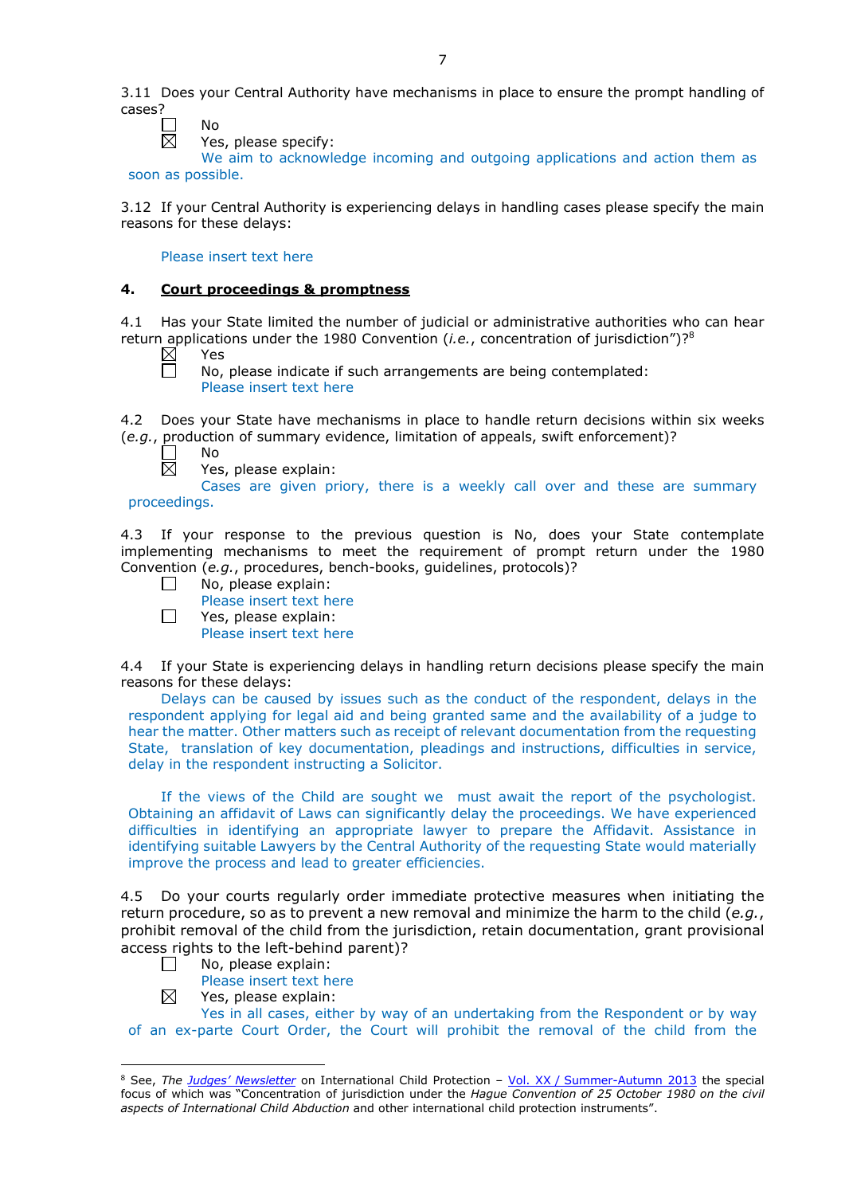$\mathcal{L}$ No  $\overline{\boxtimes}$ 

Yes, please specify:

We aim to acknowledge incoming and outgoing applications and action them as soon as possible.

3.12 If your Central Authority is experiencing delays in handling cases please specify the main reasons for these delays:

## Please insert text here

# **4. Court proceedings & promptness**

4.1 Has your State limited the number of judicial or administrative authorities who can hear return applications under the 1980 Convention (*i.e.*, concentration of jurisdiction")?8

 $\boxtimes$ Yes

П

No, please indicate if such arrangements are being contemplated: Please insert text here

4.2 Does your State have mechanisms in place to handle return decisions within six weeks (*e.g.*, production of summary evidence, limitation of appeals, swift enforcement)?

No  $\overline{\boxtimes}$ 

Yes, please explain:

Cases are given priory, there is a weekly call over and these are summary

proceedings.

 $\Box$ 

4.3 If your response to the previous question is No, does your State contemplate implementing mechanisms to meet the requirement of prompt return under the 1980 Convention (*e.g.*, procedures, bench-books, guidelines, protocols)?

- No, please explain:  $\perp$ 
	- Please insert text here
	- Yes, please explain:
	- Please insert text here

4.4 If your State is experiencing delays in handling return decisions please specify the main reasons for these delays:

Delays can be caused by issues such as the conduct of the respondent, delays in the respondent applying for legal aid and being granted same and the availability of a judge to hear the matter. Other matters such as receipt of relevant documentation from the requesting State, translation of key documentation, pleadings and instructions, difficulties in service, delay in the respondent instructing a Solicitor.

If the views of the Child are sought we must await the report of the psychologist. Obtaining an affidavit of Laws can significantly delay the proceedings. We have experienced difficulties in identifying an appropriate lawyer to prepare the Affidavit. Assistance in identifying suitable Lawyers by the Central Authority of the requesting State would materially improve the process and lead to greater efficiencies.

4.5 Do your courts regularly order immediate protective measures when initiating the return procedure, so as to prevent a new removal and minimize the harm to the child (*e.g.*, prohibit removal of the child from the jurisdiction, retain documentation, grant provisional access rights to the left-behind parent)?

- No, please explain:  $\Box$ 
	- Please insert text here
- $\boxtimes$ Yes, please explain:

Yes in all cases, either by way of an undertaking from the Respondent or by way of an ex-parte Court Order, the Court will prohibit the removal of the child from the

<sup>-</sup><sup>8</sup> See, *The [Judges' Newsletter](https://www.hcch.net/en/instruments/conventions/publications2/judges-newsletter)* on International Child Protection – Vol. XX / [Summer-Autumn 2013](https://assets.hcch.net/upload/newsletter/nl2013tome20en.pdf) the special focus of which was "Concentration of jurisdiction under the *Hague Convention of 25 October 1980 on the civil aspects of International Child Abduction* and other international child protection instruments".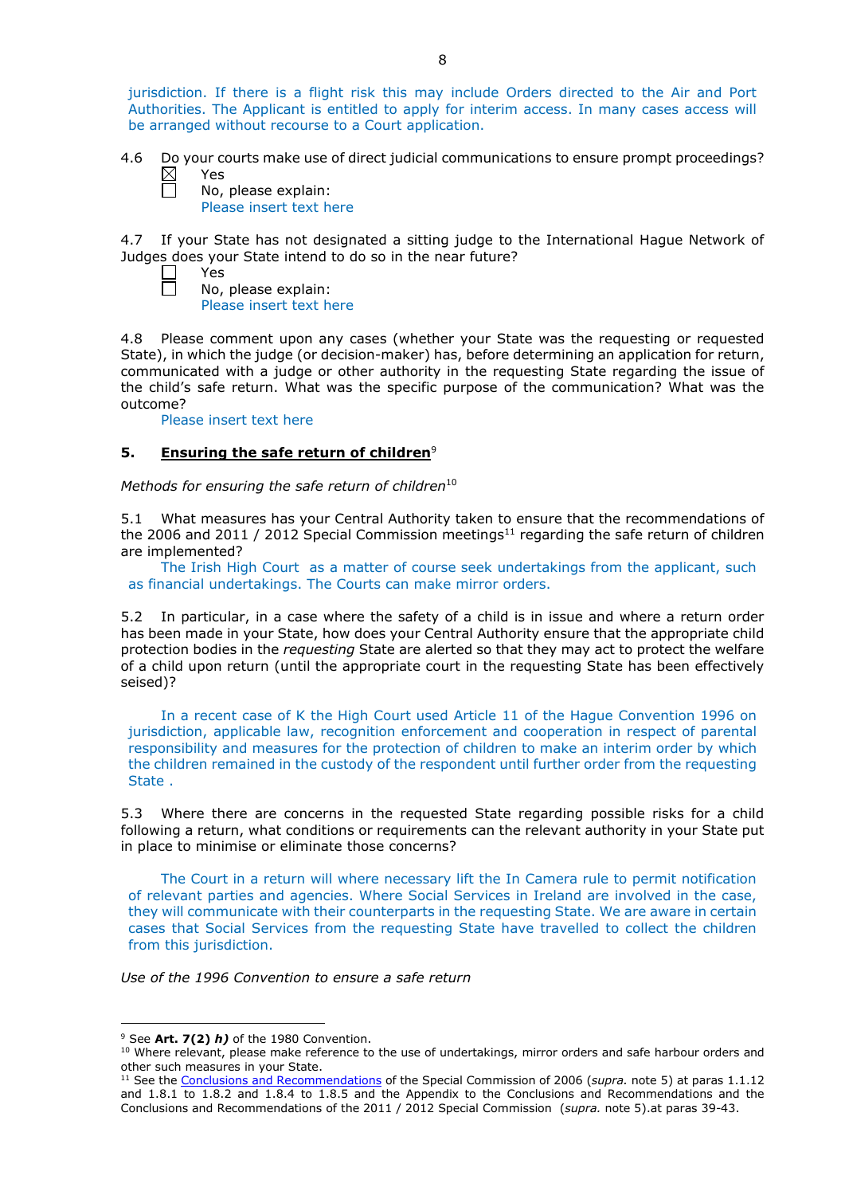jurisdiction. If there is a flight risk this may include Orders directed to the Air and Port Authorities. The Applicant is entitled to apply for interim access. In many cases access will be arranged without recourse to a Court application.

4.6 Do your courts make use of direct judicial communications to ensure prompt proceedings?  $\boxtimes$ Yes Ħ

No, please explain: Please insert text here

4.7 If your State has not designated a sitting judge to the International Hague Network of Judges does your State intend to do so in the near future?

Yes No, please explain: Please insert text here

4.8 Please comment upon any cases (whether your State was the requesting or requested State), in which the judge (or decision-maker) has, before determining an application for return, communicated with a judge or other authority in the requesting State regarding the issue of the child's safe return. What was the specific purpose of the communication? What was the outcome?

Please insert text here

 $\Box$  $\Box$ 

# **5. Ensuring the safe return of children**<sup>9</sup>

*Methods for ensuring the safe return of children*<sup>10</sup>

5.1 What measures has your Central Authority taken to ensure that the recommendations of the 2006 and 2011 / 2012 Special Commission meetings<sup>11</sup> regarding the safe return of children are implemented?

The Irish High Court as a matter of course seek undertakings from the applicant, such as financial undertakings. The Courts can make mirror orders.

5.2 In particular, in a case where the safety of a child is in issue and where a return order has been made in your State, how does your Central Authority ensure that the appropriate child protection bodies in the *requesting* State are alerted so that they may act to protect the welfare of a child upon return (until the appropriate court in the requesting State has been effectively seised)?

In a recent case of K the High Court used Article 11 of the Hague Convention 1996 on jurisdiction, applicable law, recognition enforcement and cooperation in respect of parental responsibility and measures for the protection of children to make an interim order by which the children remained in the custody of the respondent until further order from the requesting State .

5.3 Where there are concerns in the requested State regarding possible risks for a child following a return, what conditions or requirements can the relevant authority in your State put in place to minimise or eliminate those concerns?

The Court in a return will where necessary lift the In Camera rule to permit notification of relevant parties and agencies. Where Social Services in Ireland are involved in the case, they will communicate with their counterparts in the requesting State. We are aware in certain cases that Social Services from the requesting State have travelled to collect the children from this jurisdiction.

*Use of the 1996 Convention to ensure a safe return*

-

<sup>9</sup> See **Art. 7(2)** *h)* of the 1980 Convention.

<sup>&</sup>lt;sup>10</sup> Where relevant, please make reference to the use of undertakings, mirror orders and safe harbour orders and other such measures in your State.

<sup>11</sup> See the [Conclusions and Recommendations](https://assets.hcch.net/upload/concl28sc5_e.pdf) of the Special Commission of 2006 (*supra.* note 5) at paras 1.1.12 and 1.8.1 to 1.8.2 and 1.8.4 to 1.8.5 and the Appendix to the Conclusions and Recommendations and the [Conclusions and Recommendations of the 2011](https://assets.hcch.net/upload/wop/concl28sc6_e.pdf) / 2012 Special Commission (*supra.* note 5).at paras 39-43.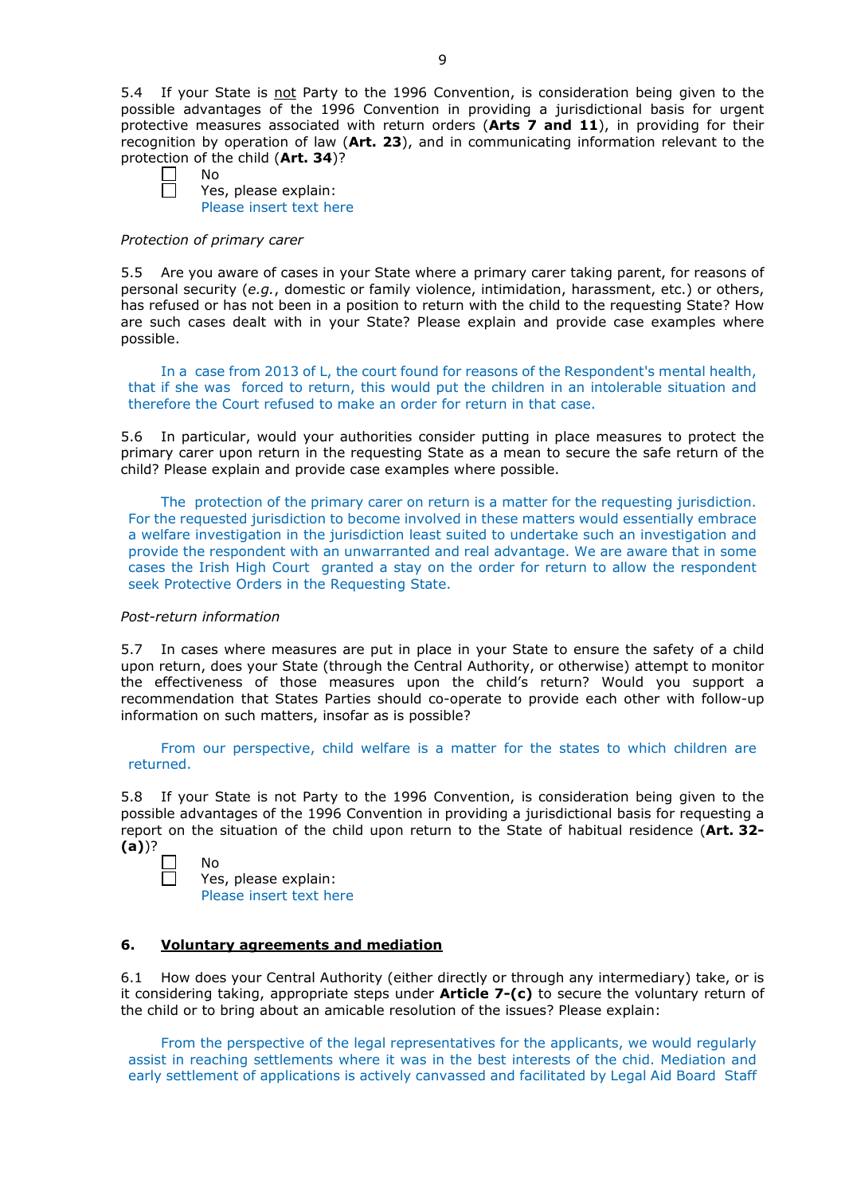5.4 If your State is not Party to the 1996 Convention, is consideration being given to the possible advantages of the 1996 Convention in providing a jurisdictional basis for urgent protective measures associated with return orders (**Arts 7 and 11**), in providing for their recognition by operation of law (**Art. 23**), and in communicating information relevant to the protection of the child (**Art. 34**)?

No

Yes, please explain: Please insert text here

#### *Protection of primary carer*

5.5 Are you aware of cases in your State where a primary carer taking parent, for reasons of personal security (*e.g.*, domestic or family violence, intimidation, harassment, etc.) or others, has refused or has not been in a position to return with the child to the requesting State? How are such cases dealt with in your State? Please explain and provide case examples where possible.

In a case from 2013 of L, the court found for reasons of the Respondent's mental health, that if she was forced to return, this would put the children in an intolerable situation and therefore the Court refused to make an order for return in that case.

5.6 In particular, would your authorities consider putting in place measures to protect the primary carer upon return in the requesting State as a mean to secure the safe return of the child? Please explain and provide case examples where possible.

The protection of the primary carer on return is a matter for the requesting jurisdiction. For the requested jurisdiction to become involved in these matters would essentially embrace a welfare investigation in the jurisdiction least suited to undertake such an investigation and provide the respondent with an unwarranted and real advantage. We are aware that in some cases the Irish High Court granted a stay on the order for return to allow the respondent seek Protective Orders in the Requesting State.

## *Post-return information*

5.7 In cases where measures are put in place in your State to ensure the safety of a child upon return, does your State (through the Central Authority, or otherwise) attempt to monitor the effectiveness of those measures upon the child's return? Would you support a recommendation that States Parties should co-operate to provide each other with follow-up information on such matters, insofar as is possible?

From our perspective, child welfare is a matter for the states to which children are returned.

5.8 If your State is not Party to the 1996 Convention, is consideration being given to the possible advantages of the 1996 Convention in providing a jurisdictional basis for requesting a report on the situation of the child upon return to the State of habitual residence (**Art. 32- (a)**)?

| No |
|----|
| Ye |
|    |

es, please explain: Please insert text here

## **6. Voluntary agreements and mediation**

6.1 How does your Central Authority (either directly or through any intermediary) take, or is it considering taking, appropriate steps under **Article 7-(c)** to secure the voluntary return of the child or to bring about an amicable resolution of the issues? Please explain:

From the perspective of the legal representatives for the applicants, we would regularly assist in reaching settlements where it was in the best interests of the chid. Mediation and early settlement of applications is actively canvassed and facilitated by Legal Aid Board Staff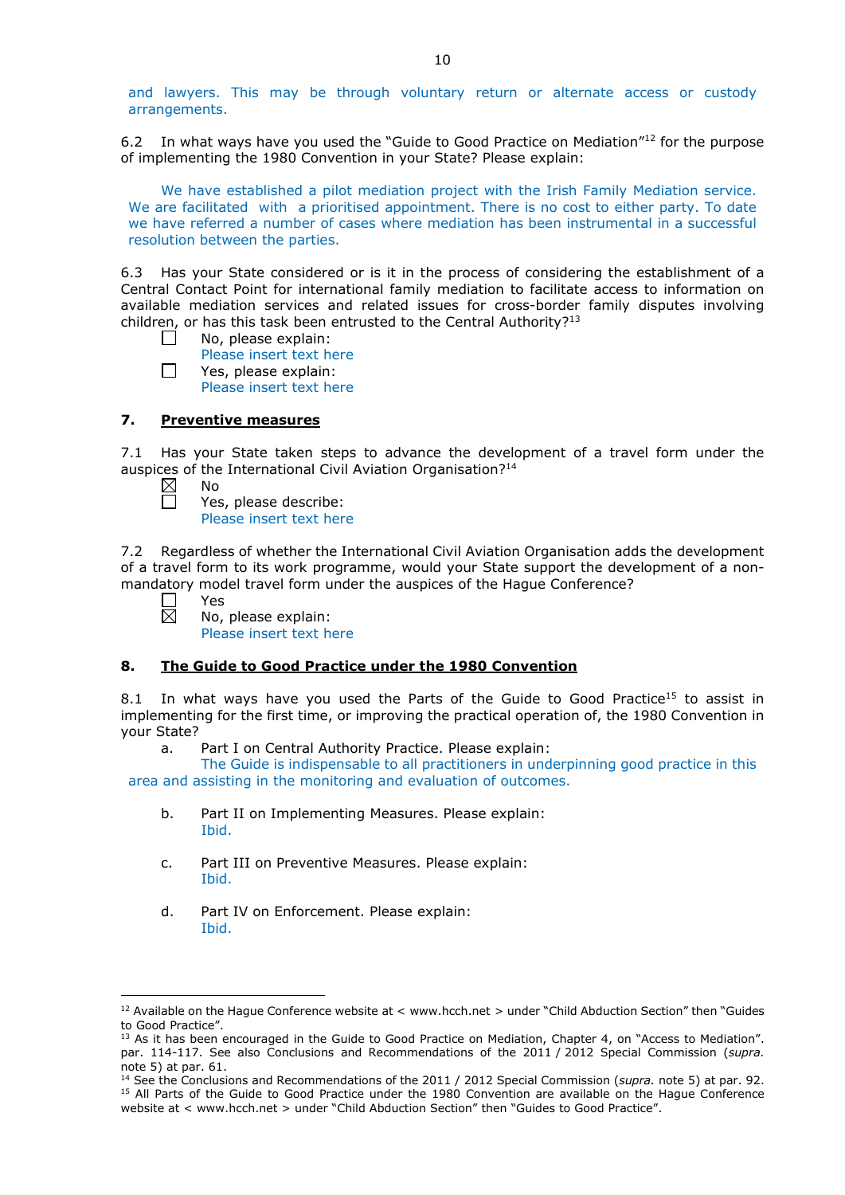and lawyers. This may be through voluntary return or alternate access or custody arrangements.

6.2 In what ways have you used the "Guide to Good Practice on Mediation" $12$  for the purpose of implementing the 1980 Convention in your State? Please explain:

We have established a pilot mediation project with the Irish Family Mediation service. We are facilitated with a prioritised appointment. There is no cost to either party. To date we have referred a number of cases where mediation has been instrumental in a successful resolution between the parties.

6.3 Has your State considered or is it in the process of considering the establishment of a Central Contact Point for international family mediation to facilitate access to information on available mediation services and related issues for cross-border family disputes involving children, or has this task been entrusted to the Central Authority?<sup>13</sup>

- $\Box$ No, please explain:
	- Please insert text here
	- Yes, please explain:
		- Please insert text here

# **7. Preventive measures**

7.1 Has your State taken steps to advance the development of a travel form under the auspices of the International Civil Aviation Organisation?<sup>14</sup>

 $\boxtimes$ No

П

 $\Box$ 

Yes, please describe: Please insert text here

7.2 Regardless of whether the International Civil Aviation Organisation adds the development of a travel form to its work programme, would your State support the development of a nonmandatory model travel form under the auspices of the Hague Conference?

Yes 岗

<u>.</u>

No, please explain: Please insert text here

## **8. The Guide to Good Practice under the 1980 Convention**

8.1 In what ways have you used the Parts of the Guide to Good Practice<sup>15</sup> to assist in implementing for the first time, or improving the practical operation of, the 1980 Convention in your State?

a. Part I on Central Authority Practice. Please explain:

The Guide is indispensable to all practitioners in underpinning good practice in this area and assisting in the monitoring and evaluation of outcomes.

- b. Part II on Implementing Measures. Please explain: Ibid.
- c. Part III on Preventive Measures. Please explain: Ibid.
- d. Part IV on Enforcement. Please explain: Ibid.

 $12$  Available on the Hague Conference website at < www.hcch.net > under "Child Abduction Section" then "Guides to Good Practice".

 $13$  As it has been encouraged in the Guide to Good Practice on Mediation, Chapter 4, on "Access to Mediation". par. 114-117. See also [Conclusions and Recommendations of the 2011](https://assets.hcch.net/upload/wop/concl28sc6_e.pdf) / 2012 Special Commission (*supra.* note 5) at par. 61.

<sup>14</sup> See the [Conclusions and Recommendations of the 2011](https://assets.hcch.net/upload/wop/concl28sc6_e.pdf) / 2012 Special Commission (*supra.* note 5) at par. 92. <sup>15</sup> All Parts of the Guide to Good Practice under the 1980 Convention are available on the Hague Conference website at < www.hcch.net > under "Child Abduction Section" then "Guides to Good Practice".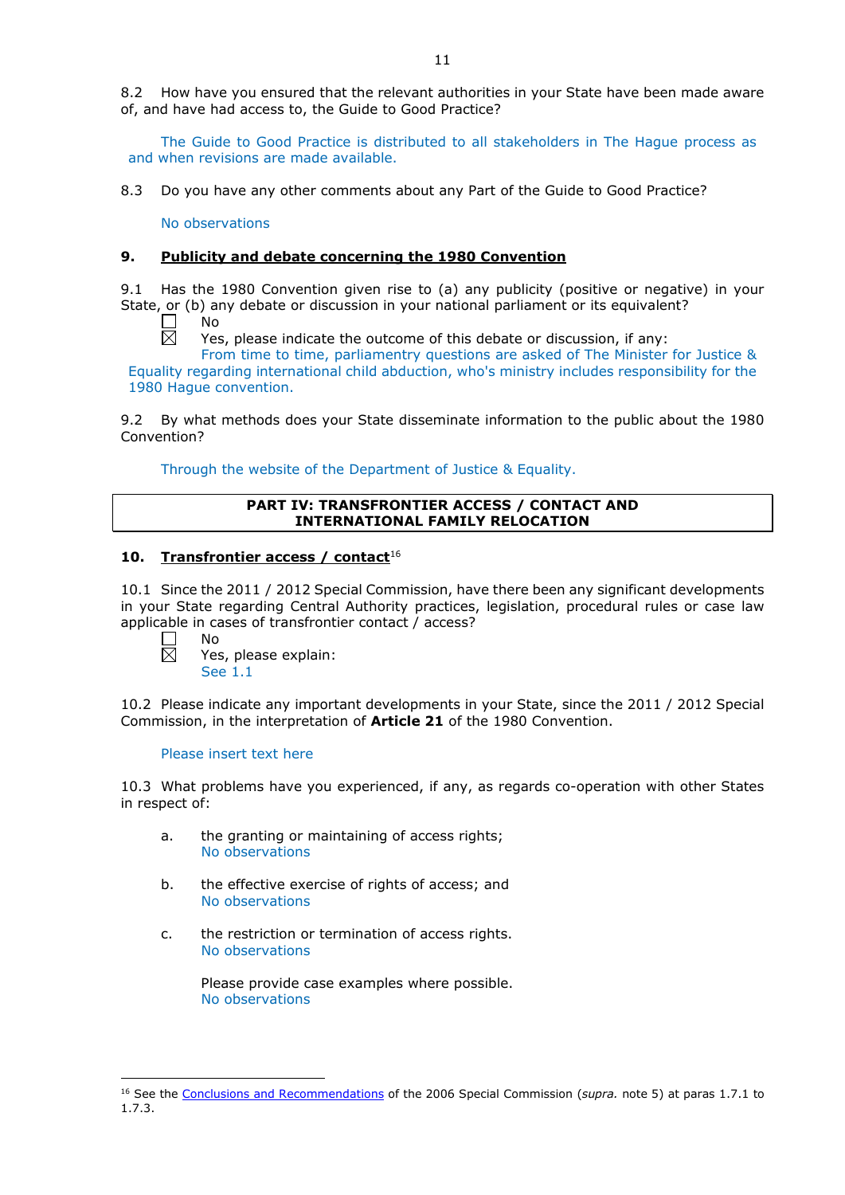8.2 How have you ensured that the relevant authorities in your State have been made aware of, and have had access to, the Guide to Good Practice?

The Guide to Good Practice is distributed to all stakeholders in The Hague process as and when revisions are made available.

8.3 Do you have any other comments about any Part of the Guide to Good Practice?

No observations

## **9. Publicity and debate concerning the 1980 Convention**

9.1 Has the 1980 Convention given rise to (a) any publicity (positive or negative) in your State, or (b) any debate or discussion in your national parliament or its equivalent?

No 岗

Yes, please indicate the outcome of this debate or discussion, if any:

From time to time, parliamentry questions are asked of The Minister for Justice & Equality regarding international child abduction, who's ministry includes responsibility for the 1980 Hague convention.

9.2 By what methods does your State disseminate information to the public about the 1980 Convention?

Through the website of the Department of Justice & Equality.

## **PART IV: TRANSFRONTIER ACCESS / CONTACT AND INTERNATIONAL FAMILY RELOCATION**

## **10. Transfrontier access / contact**<sup>16</sup>

10.1 Since the 2011 / 2012 Special Commission, have there been any significant developments in your State regarding Central Authority practices, legislation, procedural rules or case law applicable in cases of transfrontier contact / access?

No  $\overline{\boxtimes}$ 

Yes, please explain: See 1.1

10.2 Please indicate any important developments in your State, since the 2011 / 2012 Special Commission, in the interpretation of **Article 21** of the 1980 Convention.

## Please insert text here

10.3 What problems have you experienced, if any, as regards co-operation with other States in respect of:

- a. the granting or maintaining of access rights; No observations
- b. the effective exercise of rights of access; and No observations
- c. the restriction or termination of access rights. No observations

Please provide case examples where possible. No observations

<sup>-</sup><sup>16</sup> See the [Conclusions and Recommendations](https://assets.hcch.net/upload/concl28sc5_e.pdf) of the 2006 Special Commission (*supra.* note 5) at paras 1.7.1 to 1.7.3.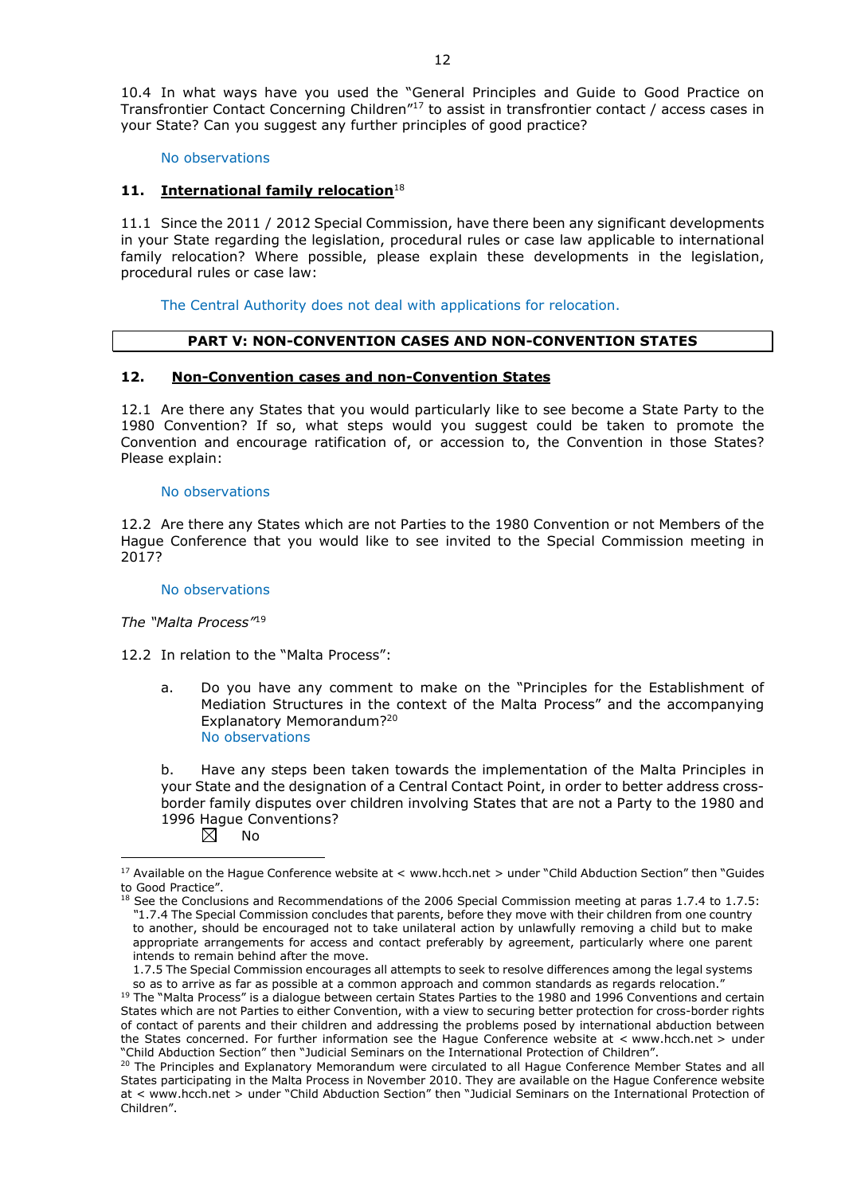10.4 In what ways have you used the "General Principles and Guide to Good Practice on Transfrontier Contact Concerning Children"17 to assist in transfrontier contact / access cases in your State? Can you suggest any further principles of good practice?

No observations

# **11. International family relocation**<sup>18</sup>

11.1 Since the 2011 / 2012 Special Commission, have there been any significant developments in your State regarding the legislation, procedural rules or case law applicable to international family relocation? Where possible, please explain these developments in the legislation, procedural rules or case law:

The Central Authority does not deal with applications for relocation.

## **PART V: NON-CONVENTION CASES AND NON-CONVENTION STATES**

## **12. Non-Convention cases and non-Convention States**

12.1 Are there any States that you would particularly like to see become a State Party to the 1980 Convention? If so, what steps would you suggest could be taken to promote the Convention and encourage ratification of, or accession to, the Convention in those States? Please explain:

#### No observations

12.2 Are there any States which are not Parties to the 1980 Convention or not Members of the Hague Conference that you would like to see invited to the Special Commission meeting in 2017?

#### No observations

*The "Malta Process"*<sup>19</sup>

12.2 In relation to the "Malta Process":

a. Do you have any comment to make on the "Principles for the Establishment of Mediation Structures in the context of the Malta Process" and the accompanying Explanatory Memorandum?20 No observations

b. Have any steps been taken towards the implementation of the Malta Principles in your State and the designation of a Central Contact Point, in order to better address crossborder family disputes over children involving States that are not a Party to the 1980 and 1996 Hague Conventions?<br>  $\boxtimes$  No

No

-

<sup>&</sup>lt;sup>17</sup> Available on the Hague Conference website at < www.hcch.net > under "Child Abduction Section" then "Guides to Good Practice".

 $18$  See the Conclusions and Recommendations of the 2006 Special Commission meeting at paras 1.7.4 to 1.7.5: *"*1.7.4 The Special Commission concludes that parents, before they move with their children from one country to another, should be encouraged not to take unilateral action by unlawfully removing a child but to make appropriate arrangements for access and contact preferably by agreement, particularly where one parent intends to remain behind after the move.

<sup>1.7.5</sup> The Special Commission encourages all attempts to seek to resolve differences among the legal systems so as to arrive as far as possible at a common approach and common standards as regards relocation."

<sup>&</sup>lt;sup>19</sup> The "Malta Process" is a dialogue between certain States Parties to the 1980 and 1996 Conventions and certain States which are not Parties to either Convention, with a view to securing better protection for cross-border rights of contact of parents and their children and addressing the problems posed by international abduction between the States concerned. For further information see the Hague Conference website at < www.hcch.net > under "Child Abduction Section" then "Judicial Seminars on the International Protection of Children".

<sup>20</sup> The Principles and Explanatory Memorandum were circulated to all Hague Conference Member States and all States participating in the Malta Process in November 2010. They are available on the Hague Conference website at < www.hcch.net > under "Child Abduction Section" then "Judicial Seminars on the International Protection of Children".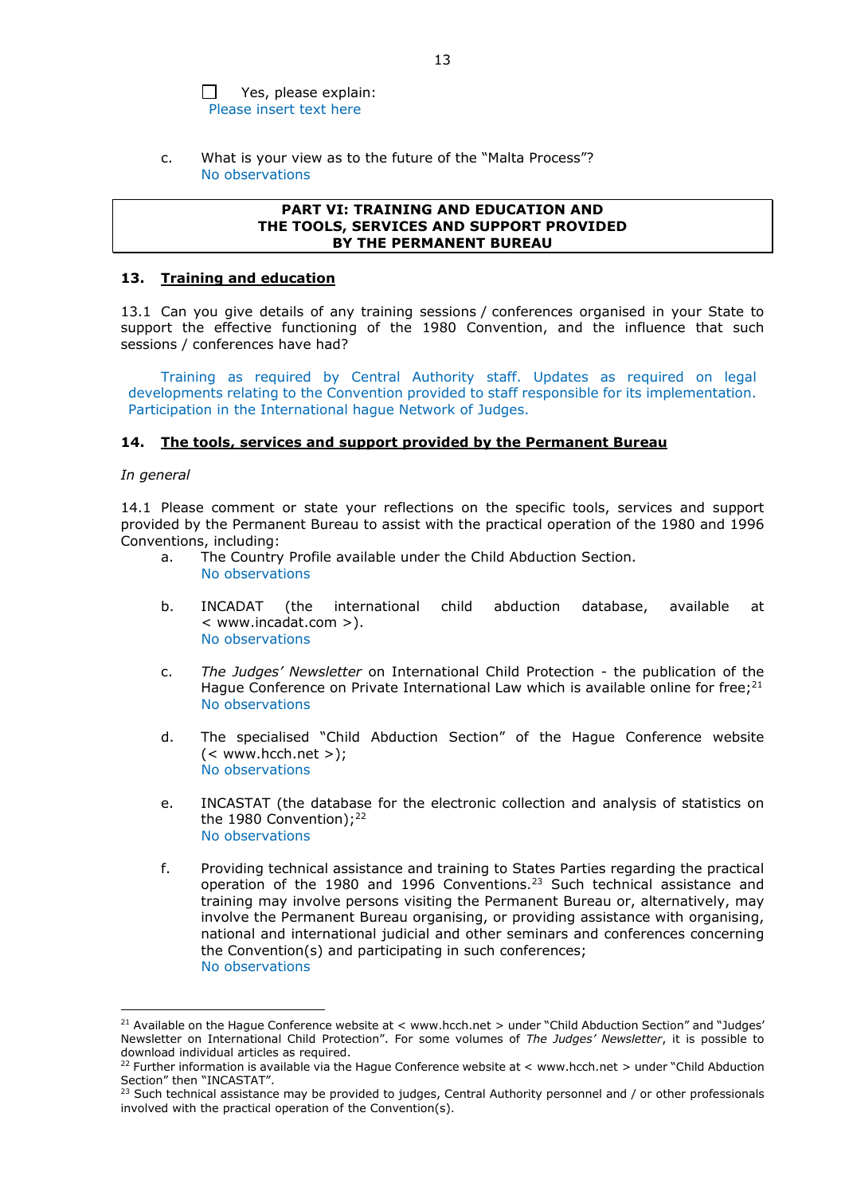$\Box$ Yes, please explain: Please insert text here

c. What is your view as to the future of the "Malta Process"? No observations

#### **PART VI: TRAINING AND EDUCATION AND THE TOOLS, SERVICES AND SUPPORT PROVIDED BY THE PERMANENT BUREAU**

#### **13. Training and education**

13.1 Can you give details of any training sessions / conferences organised in your State to support the effective functioning of the 1980 Convention, and the influence that such sessions / conferences have had?

Training as required by Central Authority staff. Updates as required on legal developments relating to the Convention provided to staff responsible for its implementation. Participation in the International hague Network of Judges.

#### **14. The tools, services and support provided by the Permanent Bureau**

## *In general*

<u>.</u>

14.1 Please comment or state your reflections on the specific tools, services and support provided by the Permanent Bureau to assist with the practical operation of the 1980 and 1996 Conventions, including:

- a. The Country Profile available under the Child Abduction Section. No observations
- b. INCADAT (the international child abduction database, available at < www.incadat.com >). No observations
- c. *The Judges' Newsletter* on International Child Protection the publication of the Hague Conference on Private International Law which is available online for free; $^{21}$ No observations
- d. The specialised "Child Abduction Section" of the Hague Conference website  $(<$  www.hcch.net >); No observations
- e. INCASTAT (the database for the electronic collection and analysis of statistics on the 1980 Convention);<sup>22</sup> No observations
- f. Providing technical assistance and training to States Parties regarding the practical operation of the 1980 and 1996 Conventions.23 Such technical assistance and training may involve persons visiting the Permanent Bureau or, alternatively, may involve the Permanent Bureau organising, or providing assistance with organising, national and international judicial and other seminars and conferences concerning the Convention(s) and participating in such conferences; No observations

<sup>&</sup>lt;sup>21</sup> Available on the Hague Conference website at < www.hcch.net > under "Child Abduction Section" and "Judges' Newsletter on International Child Protection". For some volumes of *The Judges' Newsletter*, it is possible to download individual articles as required.

<sup>&</sup>lt;sup>22</sup> Further information is available via the Hague Conference website at < www.hcch.net > under "Child Abduction Section" then "INCASTAT".

<sup>23</sup> Such technical assistance may be provided to judges, Central Authority personnel and / or other professionals involved with the practical operation of the Convention(s).